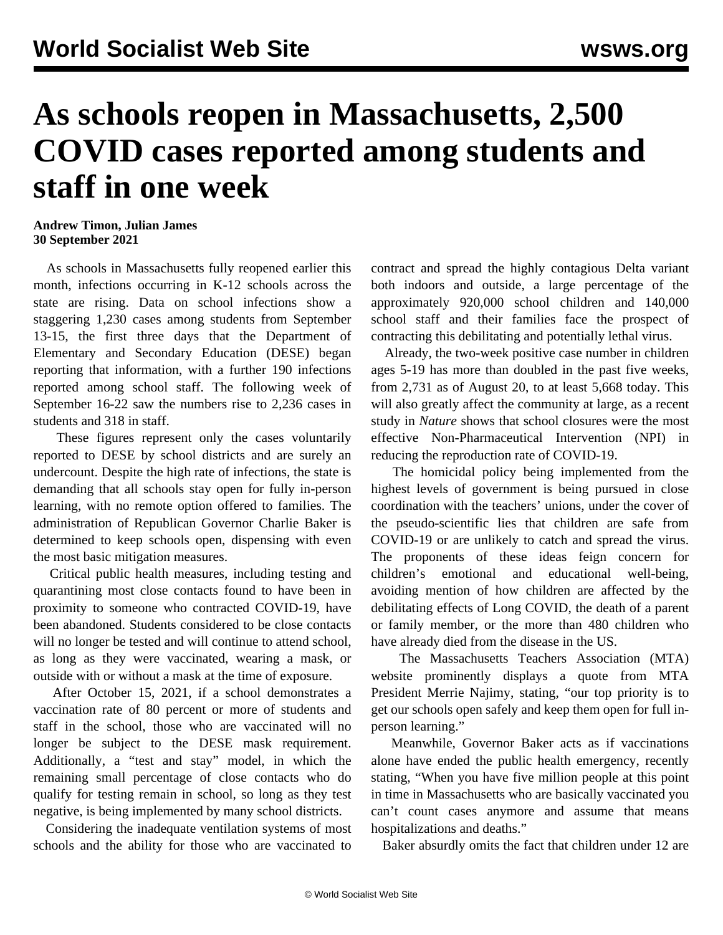## **As schools reopen in Massachusetts, 2,500 COVID cases reported among students and staff in one week**

**Andrew Timon, Julian James 30 September 2021**

 As schools in Massachusetts fully reopened earlier this month, infections occurring in K-12 schools across the state are rising. Data on school infections show a staggering 1,230 cases among students from September 13-15, the first three days that the Department of Elementary and Secondary Education (DESE) began reporting that information, with a further 190 infections reported among school staff. The following week of September 16-22 saw the numbers rise to 2,236 cases in students and 318 in staff.

 These figures represent only the cases voluntarily reported to DESE by school districts and are surely an undercount. Despite the high rate of infections, the state is demanding that all schools stay open for fully in-person learning, with no remote option offered to families. The administration of Republican Governor Charlie Baker is determined to keep schools open, dispensing with even the most basic mitigation measures.

 Critical public health measures, including testing and quarantining most close contacts found to have been in proximity to someone who contracted COVID-19, have been abandoned. Students considered to be close contacts will no longer be tested and will continue to attend school, as long as they were vaccinated, wearing a mask, or outside with or without a mask at the time of exposure.

 After October 15, 2021, if a school demonstrates a vaccination rate of 80 percent or more of students and staff in the school, those who are vaccinated will no longer be subject to the DESE mask requirement. Additionally, a "test and stay" model, in which the remaining small percentage of close contacts who do qualify for testing remain in school, so long as they test negative, is being implemented by many school districts.

 Considering the inadequate ventilation systems of most schools and the ability for those who are vaccinated to

contract and spread the highly contagious Delta variant both indoors and outside, a large percentage of the approximately 920,000 school children and 140,000 school staff and their families face the prospect of contracting this debilitating and potentially lethal virus.

 Already, the two-week positive case number in children ages 5-19 has more than doubled in the past five weeks, from 2,731 as of August 20, to at least 5,668 today. This will also greatly affect the community at large, as a [recent](https://www.nature.com/articles/s41467-021-23865-8) [study](https://www.nature.com/articles/s41467-021-23865-8) in *Nature* shows that school closures were the most effective Non-Pharmaceutical Intervention (NPI) in reducing the reproduction rate of COVID-19.

 The homicidal policy being implemented from the highest levels of government is being pursued in close coordination with the teachers' unions, under the cover of the pseudo-scientific lies that children are safe from COVID-19 or are unlikely to catch and spread the virus. The proponents of these ideas feign concern for children's emotional and educational well-being, avoiding mention of how children are affected by the debilitating effects of Long COVID, the death of a parent or family member, or the more than 480 children who have already died from the disease in the US.

 The Massachusetts Teachers Association (MTA) website prominently displays a quote from MTA President Merrie Najimy, stating, "our top priority is to get our schools open safely and keep them open for full inperson learning."

 Meanwhile, Governor Baker acts as if vaccinations alone have ended the public health emergency, recently stating, "When you have five million people at this point in time in Massachusetts who are basically vaccinated you can't count cases anymore and assume that means hospitalizations and deaths."

Baker absurdly omits the fact that children under 12 are